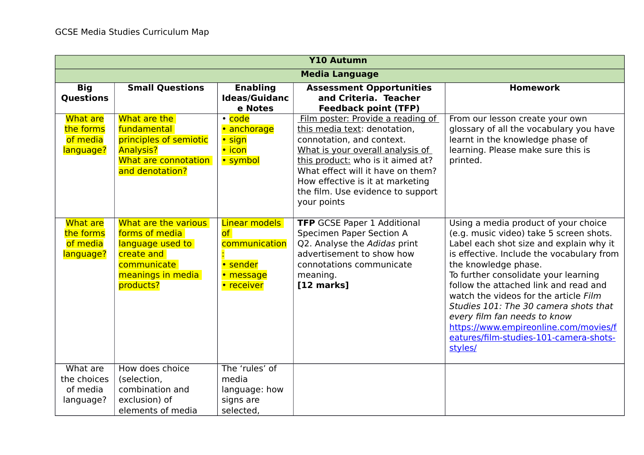| <b>Y10 Autumn</b>                                     |                                                                                                                           |                                                                             |                                                                                                                                                                                                                                                                                                      |                                                                                                                                                                                                                                                                                                                                                                                                                                                                                                  |
|-------------------------------------------------------|---------------------------------------------------------------------------------------------------------------------------|-----------------------------------------------------------------------------|------------------------------------------------------------------------------------------------------------------------------------------------------------------------------------------------------------------------------------------------------------------------------------------------------|--------------------------------------------------------------------------------------------------------------------------------------------------------------------------------------------------------------------------------------------------------------------------------------------------------------------------------------------------------------------------------------------------------------------------------------------------------------------------------------------------|
|                                                       |                                                                                                                           |                                                                             | <b>Media Language</b>                                                                                                                                                                                                                                                                                |                                                                                                                                                                                                                                                                                                                                                                                                                                                                                                  |
| <b>Big</b><br><b>Questions</b>                        | <b>Small Questions</b>                                                                                                    | <b>Enabling</b><br><b>Ideas/Guidanc</b><br>e Notes                          | <b>Assessment Opportunities</b><br>and Criteria. Teacher<br><b>Feedback point (TFP)</b>                                                                                                                                                                                                              | <b>Homework</b>                                                                                                                                                                                                                                                                                                                                                                                                                                                                                  |
| <b>What are</b><br>the forms<br>of media<br>language? | What are the<br>fundamental<br>principles of semiotic<br><b>Analysis?</b><br>What are connotation<br>and denotation?      | • code<br>• anchorage<br>• sign<br>• icon<br>• symbol                       | Film poster: Provide a reading of<br>this media text: denotation,<br>connotation, and context.<br>What is your overall analysis of<br>this product: who is it aimed at?<br>What effect will it have on them?<br>How effective is it at marketing<br>the film. Use evidence to support<br>your points | From our lesson create your own<br>glossary of all the vocabulary you have<br>learnt in the knowledge phase of<br>learning. Please make sure this is<br>printed.                                                                                                                                                                                                                                                                                                                                 |
| <b>What are</b><br>the forms<br>of media<br>language? | What are the various<br>forms of media<br>language used to<br>create and<br>communicate<br>meanings in media<br>products? | Linear models<br>of<br>communication<br>• sender<br>• message<br>• receiver | <b>TFP</b> GCSE Paper 1 Additional<br>Specimen Paper Section A<br>Q2. Analyse the Adidas print<br>advertisement to show how<br>connotations communicate<br>meaning.<br>$[12$ marks]                                                                                                                  | Using a media product of your choice<br>(e.g. music video) take 5 screen shots.<br>Label each shot size and explain why it<br>is effective. Include the vocabulary from<br>the knowledge phase.<br>To further consolidate your learning<br>follow the attached link and read and<br>watch the videos for the article Film<br>Studies 101: The 30 camera shots that<br>every film fan needs to know<br>https://www.empireonline.com/movies/f<br>eatures/film-studies-101-camera-shots-<br>styles/ |
| What are<br>the choices<br>of media<br>language?      | How does choice<br>(selection,<br>combination and<br>exclusion) of<br>elements of media                                   | The 'rules' of<br>media<br>language: how<br>signs are<br>selected,          |                                                                                                                                                                                                                                                                                                      |                                                                                                                                                                                                                                                                                                                                                                                                                                                                                                  |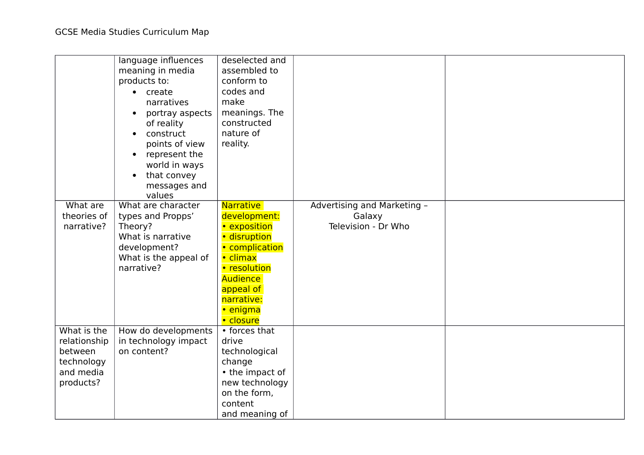|                         | language influences<br>meaning in media<br>products to:<br>• create<br>narratives<br>portray aspects<br>of reality<br>construct<br>$\bullet$<br>points of view<br>represent the<br>world in ways<br>that convey<br>$\bullet$<br>messages and<br>values | deselected and<br>assembled to<br>conform to<br>codes and<br>make<br>meanings. The<br>constructed<br>nature of<br>reality. |                                       |  |
|-------------------------|--------------------------------------------------------------------------------------------------------------------------------------------------------------------------------------------------------------------------------------------------------|----------------------------------------------------------------------------------------------------------------------------|---------------------------------------|--|
| What are<br>theories of | What are character                                                                                                                                                                                                                                     | <b>Narrative</b><br>development:                                                                                           | Advertising and Marketing -<br>Galaxy |  |
| narrative?              | types and Propps'<br>Theory?                                                                                                                                                                                                                           | • exposition                                                                                                               | Television - Dr Who                   |  |
|                         | What is narrative                                                                                                                                                                                                                                      | · disruption                                                                                                               |                                       |  |
|                         | development?                                                                                                                                                                                                                                           | • complication                                                                                                             |                                       |  |
|                         | What is the appeal of                                                                                                                                                                                                                                  | • climax                                                                                                                   |                                       |  |
|                         | narrative?                                                                                                                                                                                                                                             | • resolution                                                                                                               |                                       |  |
|                         |                                                                                                                                                                                                                                                        | Audience                                                                                                                   |                                       |  |
|                         |                                                                                                                                                                                                                                                        | appeal of                                                                                                                  |                                       |  |
|                         |                                                                                                                                                                                                                                                        | narrative:                                                                                                                 |                                       |  |
|                         |                                                                                                                                                                                                                                                        | • enigma                                                                                                                   |                                       |  |
| What is the             | How do developments                                                                                                                                                                                                                                    | • closure<br>• forces that                                                                                                 |                                       |  |
| relationship            | in technology impact                                                                                                                                                                                                                                   | drive                                                                                                                      |                                       |  |
| between                 | on content?                                                                                                                                                                                                                                            | technological                                                                                                              |                                       |  |
| technology              |                                                                                                                                                                                                                                                        | change                                                                                                                     |                                       |  |
| and media               |                                                                                                                                                                                                                                                        | • the impact of                                                                                                            |                                       |  |
| products?               |                                                                                                                                                                                                                                                        | new technology                                                                                                             |                                       |  |
|                         |                                                                                                                                                                                                                                                        | on the form,                                                                                                               |                                       |  |
|                         |                                                                                                                                                                                                                                                        | content                                                                                                                    |                                       |  |
|                         |                                                                                                                                                                                                                                                        | and meaning of                                                                                                             |                                       |  |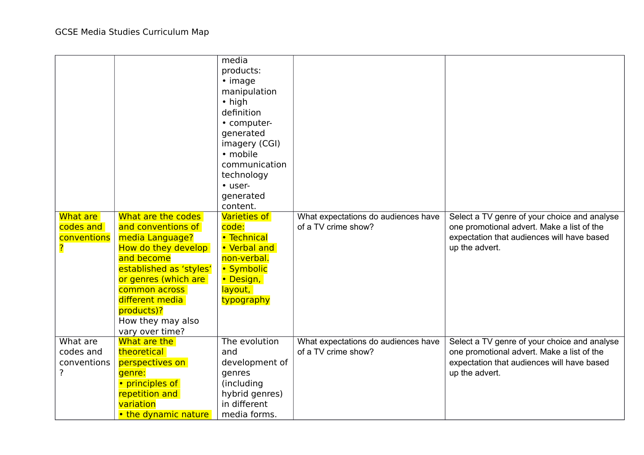|             |                                 | media<br>products:  |                                     |                                              |
|-------------|---------------------------------|---------------------|-------------------------------------|----------------------------------------------|
|             |                                 | $\cdot$ image       |                                     |                                              |
|             |                                 | manipulation        |                                     |                                              |
|             |                                 | • high              |                                     |                                              |
|             |                                 | definition          |                                     |                                              |
|             |                                 | • computer-         |                                     |                                              |
|             |                                 | generated           |                                     |                                              |
|             |                                 | imagery (CGI)       |                                     |                                              |
|             |                                 | · mobile            |                                     |                                              |
|             |                                 | communication       |                                     |                                              |
|             |                                 | technology          |                                     |                                              |
|             |                                 | • user-             |                                     |                                              |
|             |                                 | generated           |                                     |                                              |
|             |                                 | content.            |                                     |                                              |
| What are    | What are the codes              | <b>Varieties of</b> | What expectations do audiences have | Select a TV genre of your choice and analyse |
| codes and   | and conventions of              | code:               | of a TV crime show?                 | one promotional advert. Make a list of the   |
| conventions | media Language?                 | • Technical         |                                     | expectation that audiences will have based   |
|             | How do they develop             | • Verbal and        |                                     | up the advert.                               |
|             | and become                      | non-verbal.         |                                     |                                              |
|             | established as 'styles'         | • Symbolic          |                                     |                                              |
|             | or genres (which are            | • Design,           |                                     |                                              |
|             | common across                   | layout,             |                                     |                                              |
|             | different media                 | typography          |                                     |                                              |
|             | products)?                      |                     |                                     |                                              |
|             | How they may also               |                     |                                     |                                              |
| What are    | vary over time?<br>What are the | The evolution       | What expectations do audiences have | Select a TV genre of your choice and analyse |
| codes and   | theoretical                     | and                 | of a TV crime show?                 | one promotional advert. Make a list of the   |
| conventions | perspectives on                 | development of      |                                     | expectation that audiences will have based   |
| ?           | genre:                          | genres              |                                     | up the advert.                               |
|             | • principles of                 | (including          |                                     |                                              |
|             | repetition and                  | hybrid genres)      |                                     |                                              |
|             | variation                       | in different        |                                     |                                              |
|             | • the dynamic nature            | media forms.        |                                     |                                              |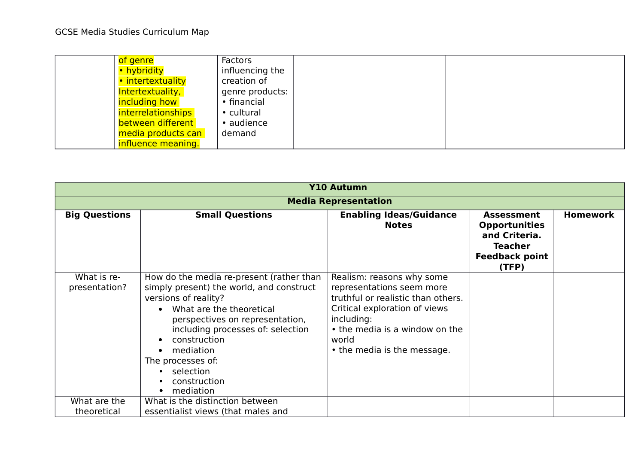| of genre                  | Factors         |  |
|---------------------------|-----------------|--|
| • hybridity               | influencing the |  |
| • intertextuality         | creation of     |  |
| Intertextuality,          | genre products: |  |
| including how             | • financial     |  |
| <i>interrelationships</i> | • cultural      |  |
| between different         | • audience      |  |
| media products can        | demand          |  |
| influence meaning.        |                 |  |

|                              | <b>Y10 Autumn</b>                                                                                                                                                                                                                                                                                              |                                                                                                                                                                                                                       |                                                                                                                |                 |  |  |
|------------------------------|----------------------------------------------------------------------------------------------------------------------------------------------------------------------------------------------------------------------------------------------------------------------------------------------------------------|-----------------------------------------------------------------------------------------------------------------------------------------------------------------------------------------------------------------------|----------------------------------------------------------------------------------------------------------------|-----------------|--|--|
|                              | <b>Media Representation</b>                                                                                                                                                                                                                                                                                    |                                                                                                                                                                                                                       |                                                                                                                |                 |  |  |
| <b>Big Questions</b>         | <b>Small Questions</b>                                                                                                                                                                                                                                                                                         | <b>Enabling Ideas/Guidance</b><br><b>Notes</b>                                                                                                                                                                        | <b>Assessment</b><br><b>Opportunities</b><br>and Criteria.<br><b>Teacher</b><br><b>Feedback point</b><br>(TFP) | <b>Homework</b> |  |  |
| What is re-<br>presentation? | How do the media re-present (rather than<br>simply present) the world, and construct<br>versions of reality?<br>What are the theoretical<br>perspectives on representation,<br>including processes of: selection<br>construction<br>mediation<br>The processes of:<br>• selection<br>construction<br>mediation | Realism: reasons why some<br>representations seem more<br>truthful or realistic than others.<br>Critical exploration of views<br>including:<br>• the media is a window on the<br>world<br>• the media is the message. |                                                                                                                |                 |  |  |
| What are the<br>theoretical  | What is the distinction between<br>essentialist views (that males and                                                                                                                                                                                                                                          |                                                                                                                                                                                                                       |                                                                                                                |                 |  |  |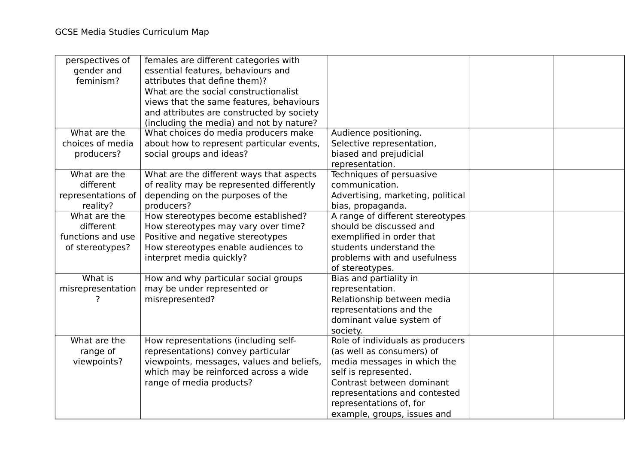| perspectives of    | females are different categories with     |                                   |  |
|--------------------|-------------------------------------------|-----------------------------------|--|
| gender and         | essential features, behaviours and        |                                   |  |
| feminism?          | attributes that define them)?             |                                   |  |
|                    | What are the social constructionalist     |                                   |  |
|                    | views that the same features, behaviours  |                                   |  |
|                    | and attributes are constructed by society |                                   |  |
|                    | (including the media) and not by nature?  |                                   |  |
| What are the       | What choices do media producers make      | Audience positioning.             |  |
| choices of media   | about how to represent particular events, | Selective representation,         |  |
| producers?         | social groups and ideas?                  | biased and prejudicial            |  |
|                    |                                           | representation.                   |  |
| What are the       | What are the different ways that aspects  | Techniques of persuasive          |  |
| different          | of reality may be represented differently | communication.                    |  |
| representations of | depending on the purposes of the          | Advertising, marketing, political |  |
| reality?           | producers?                                | bias, propaganda.                 |  |
| What are the       | How stereotypes become established?       | A range of different stereotypes  |  |
| different          | How stereotypes may vary over time?       | should be discussed and           |  |
| functions and use  | Positive and negative stereotypes         | exemplified in order that         |  |
| of stereotypes?    | How stereotypes enable audiences to       | students understand the           |  |
|                    | interpret media quickly?                  | problems with and usefulness      |  |
|                    |                                           | of stereotypes.                   |  |
| What is            | How and why particular social groups      | Bias and partiality in            |  |
| misrepresentation  | may be under represented or               | representation.                   |  |
|                    | misrepresented?                           | Relationship between media        |  |
|                    |                                           | representations and the           |  |
|                    |                                           | dominant value system of          |  |
|                    |                                           | society.                          |  |
| What are the       | How representations (including self-      | Role of individuals as producers  |  |
| range of           | representations) convey particular        | (as well as consumers) of         |  |
| viewpoints?        | viewpoints, messages, values and beliefs, | media messages in which the       |  |
|                    | which may be reinforced across a wide     | self is represented.              |  |
|                    | range of media products?                  | Contrast between dominant         |  |
|                    |                                           | representations and contested     |  |
|                    |                                           | representations of, for           |  |
|                    |                                           | example, groups, issues and       |  |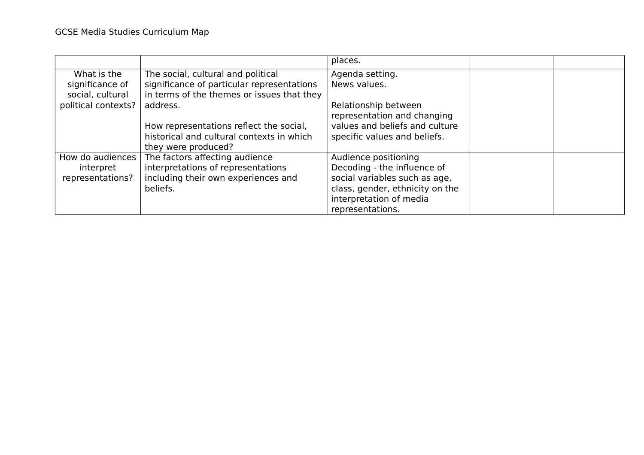|                     |                                            | places.                         |  |
|---------------------|--------------------------------------------|---------------------------------|--|
| What is the         | The social, cultural and political         | Agenda setting.                 |  |
| significance of     | significance of particular representations | News values.                    |  |
| social, cultural    | in terms of the themes or issues that they |                                 |  |
| political contexts? | address.                                   | Relationship between            |  |
|                     |                                            | representation and changing     |  |
|                     | How representations reflect the social,    | values and beliefs and culture  |  |
|                     | historical and cultural contexts in which  | specific values and beliefs.    |  |
|                     | they were produced?                        |                                 |  |
| How do audiences    | The factors affecting audience             | Audience positioning            |  |
| interpret           | interpretations of representations         | Decoding - the influence of     |  |
| representations?    | including their own experiences and        | social variables such as age,   |  |
|                     | beliefs.                                   | class, gender, ethnicity on the |  |
|                     |                                            | interpretation of media         |  |
|                     |                                            | representations.                |  |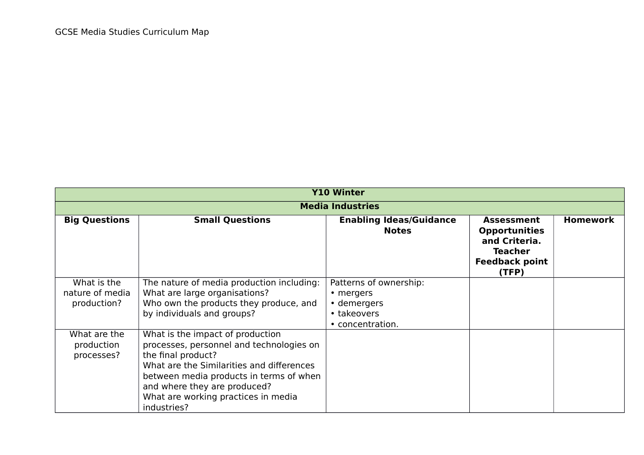| <b>Y10 Winter</b>                             |                                                                                                                                                                                                                                                                                  |                                                                                       |                                                                                                                |                 |  |  |
|-----------------------------------------------|----------------------------------------------------------------------------------------------------------------------------------------------------------------------------------------------------------------------------------------------------------------------------------|---------------------------------------------------------------------------------------|----------------------------------------------------------------------------------------------------------------|-----------------|--|--|
|                                               | <b>Media Industries</b>                                                                                                                                                                                                                                                          |                                                                                       |                                                                                                                |                 |  |  |
| <b>Big Questions</b>                          | <b>Small Questions</b>                                                                                                                                                                                                                                                           | <b>Enabling Ideas/Guidance</b><br><b>Notes</b>                                        | <b>Assessment</b><br><b>Opportunities</b><br>and Criteria.<br><b>Teacher</b><br><b>Feedback point</b><br>(TFP) | <b>Homework</b> |  |  |
| What is the<br>nature of media<br>production? | The nature of media production including:<br>What are large organisations?<br>Who own the products they produce, and<br>by individuals and groups?                                                                                                                               | Patterns of ownership:<br>• mergers<br>• demergers<br>• takeovers<br>• concentration. |                                                                                                                |                 |  |  |
| What are the<br>production<br>processes?      | What is the impact of production<br>processes, personnel and technologies on<br>the final product?<br>What are the Similarities and differences<br>between media products in terms of when<br>and where they are produced?<br>What are working practices in media<br>industries? |                                                                                       |                                                                                                                |                 |  |  |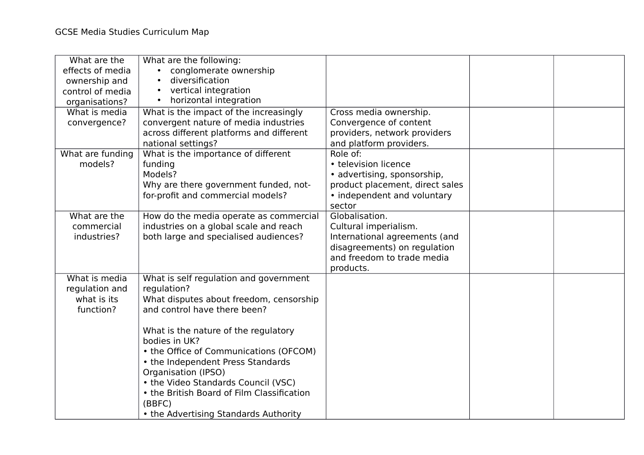| What are the<br>effects of media<br>ownership and<br>control of media<br>organisations? | What are the following:<br>conglomerate ownership<br>diversification<br>vertical integration<br>horizontal integration |                                                                                   |  |
|-----------------------------------------------------------------------------------------|------------------------------------------------------------------------------------------------------------------------|-----------------------------------------------------------------------------------|--|
| What is media                                                                           | What is the impact of the increasingly                                                                                 | Cross media ownership.                                                            |  |
| convergence?                                                                            | convergent nature of media industries<br>across different platforms and different<br>national settings?                | Convergence of content<br>providers, network providers<br>and platform providers. |  |
| What are funding                                                                        | What is the importance of different                                                                                    | Role of:                                                                          |  |
| models?                                                                                 | funding                                                                                                                | • television licence                                                              |  |
|                                                                                         | Models?<br>Why are there government funded, not-                                                                       | • advertising, sponsorship,<br>product placement, direct sales                    |  |
|                                                                                         | for-profit and commercial models?                                                                                      | • independent and voluntary                                                       |  |
|                                                                                         |                                                                                                                        | sector                                                                            |  |
| What are the                                                                            | How do the media operate as commercial                                                                                 | Globalisation.                                                                    |  |
| commercial                                                                              | industries on a global scale and reach                                                                                 | Cultural imperialism.                                                             |  |
| industries?                                                                             | both large and specialised audiences?                                                                                  | International agreements (and<br>disagreements) on regulation                     |  |
|                                                                                         |                                                                                                                        | and freedom to trade media                                                        |  |
|                                                                                         |                                                                                                                        | products.                                                                         |  |
| What is media                                                                           | What is self regulation and government                                                                                 |                                                                                   |  |
| regulation and                                                                          | regulation?                                                                                                            |                                                                                   |  |
| what is its                                                                             | What disputes about freedom, censorship                                                                                |                                                                                   |  |
| function?                                                                               | and control have there been?                                                                                           |                                                                                   |  |
|                                                                                         | What is the nature of the regulatory<br>bodies in UK?                                                                  |                                                                                   |  |
|                                                                                         | • the Office of Communications (OFCOM)                                                                                 |                                                                                   |  |
|                                                                                         | • the Independent Press Standards                                                                                      |                                                                                   |  |
|                                                                                         | Organisation (IPSO)                                                                                                    |                                                                                   |  |
|                                                                                         | • the Video Standards Council (VSC)                                                                                    |                                                                                   |  |
|                                                                                         | • the British Board of Film Classification                                                                             |                                                                                   |  |
|                                                                                         | (BBFC)                                                                                                                 |                                                                                   |  |
|                                                                                         | • the Advertising Standards Authority                                                                                  |                                                                                   |  |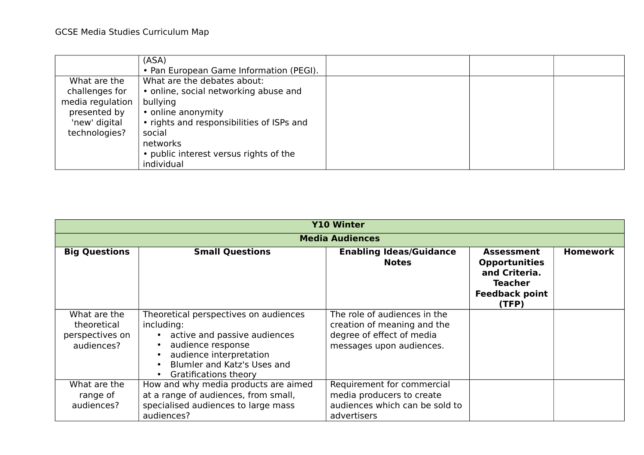|                                                                                                      | (ASA)<br>• Pan European Game Information (PEGI).                                                                                                                                                                                  |  |  |
|------------------------------------------------------------------------------------------------------|-----------------------------------------------------------------------------------------------------------------------------------------------------------------------------------------------------------------------------------|--|--|
| What are the<br>challenges for<br>media regulation<br>presented by<br>'new' digital<br>technologies? | What are the debates about:<br>• online, social networking abuse and<br>bullying<br>• online anonymity<br>• rights and responsibilities of ISPs and<br>social<br>networks<br>• public interest versus rights of the<br>individual |  |  |

|                                                              | <b>Y10 Winter</b>                                                                                                                                                                             |                                                                                                                      |                                                                                                                |                 |  |
|--------------------------------------------------------------|-----------------------------------------------------------------------------------------------------------------------------------------------------------------------------------------------|----------------------------------------------------------------------------------------------------------------------|----------------------------------------------------------------------------------------------------------------|-----------------|--|
|                                                              |                                                                                                                                                                                               | <b>Media Audiences</b>                                                                                               |                                                                                                                |                 |  |
| <b>Big Questions</b>                                         | <b>Small Questions</b>                                                                                                                                                                        | <b>Enabling Ideas/Guidance</b><br><b>Notes</b>                                                                       | <b>Assessment</b><br><b>Opportunities</b><br>and Criteria.<br><b>Teacher</b><br><b>Feedback point</b><br>(TFP) | <b>Homework</b> |  |
| What are the<br>theoretical<br>perspectives on<br>audiences? | Theoretical perspectives on audiences<br>including:<br>• active and passive audiences<br>audience response<br>audience interpretation<br>Blumler and Katz's Uses and<br>Gratifications theory | The role of audiences in the<br>creation of meaning and the<br>degree of effect of media<br>messages upon audiences. |                                                                                                                |                 |  |
| What are the<br>range of<br>audiences?                       | How and why media products are aimed<br>at a range of audiences, from small,<br>specialised audiences to large mass<br>audiences?                                                             | Requirement for commercial<br>media producers to create<br>audiences which can be sold to<br>advertisers             |                                                                                                                |                 |  |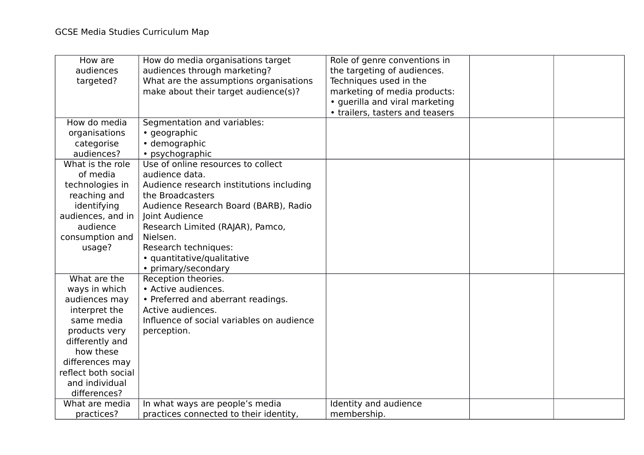| How are<br>audiences<br>targeted? | How do media organisations target<br>audiences through marketing?<br>What are the assumptions organisations<br>make about their target audience(s)? | Role of genre conventions in<br>the targeting of audiences.<br>Techniques used in the<br>marketing of media products:<br>· guerilla and viral marketing<br>• trailers, tasters and teasers |  |
|-----------------------------------|-----------------------------------------------------------------------------------------------------------------------------------------------------|--------------------------------------------------------------------------------------------------------------------------------------------------------------------------------------------|--|
| How do media                      | Segmentation and variables:                                                                                                                         |                                                                                                                                                                                            |  |
| organisations                     | • geographic                                                                                                                                        |                                                                                                                                                                                            |  |
| categorise                        | • demographic                                                                                                                                       |                                                                                                                                                                                            |  |
| audiences?                        | • psychographic                                                                                                                                     |                                                                                                                                                                                            |  |
| What is the role                  | Use of online resources to collect                                                                                                                  |                                                                                                                                                                                            |  |
| of media                          | audience data.                                                                                                                                      |                                                                                                                                                                                            |  |
| technologies in                   | Audience research institutions including                                                                                                            |                                                                                                                                                                                            |  |
| reaching and                      | the Broadcasters                                                                                                                                    |                                                                                                                                                                                            |  |
| identifying                       | Audience Research Board (BARB), Radio                                                                                                               |                                                                                                                                                                                            |  |
| audiences, and in                 | Joint Audience                                                                                                                                      |                                                                                                                                                                                            |  |
| audience                          | Research Limited (RAJAR), Pamco,<br>Nielsen.                                                                                                        |                                                                                                                                                                                            |  |
| consumption and                   | Research techniques:                                                                                                                                |                                                                                                                                                                                            |  |
| usage?                            | · quantitative/qualitative                                                                                                                          |                                                                                                                                                                                            |  |
|                                   | • primary/secondary                                                                                                                                 |                                                                                                                                                                                            |  |
| What are the                      | Reception theories.                                                                                                                                 |                                                                                                                                                                                            |  |
| ways in which                     | • Active audiences.                                                                                                                                 |                                                                                                                                                                                            |  |
| audiences may                     | • Preferred and aberrant readings.                                                                                                                  |                                                                                                                                                                                            |  |
| interpret the                     | Active audiences.                                                                                                                                   |                                                                                                                                                                                            |  |
| same media                        | Influence of social variables on audience                                                                                                           |                                                                                                                                                                                            |  |
| products very                     | perception.                                                                                                                                         |                                                                                                                                                                                            |  |
| differently and                   |                                                                                                                                                     |                                                                                                                                                                                            |  |
| how these                         |                                                                                                                                                     |                                                                                                                                                                                            |  |
| differences may                   |                                                                                                                                                     |                                                                                                                                                                                            |  |
| reflect both social               |                                                                                                                                                     |                                                                                                                                                                                            |  |
| and individual                    |                                                                                                                                                     |                                                                                                                                                                                            |  |
| differences?                      |                                                                                                                                                     |                                                                                                                                                                                            |  |
| What are media                    | In what ways are people's media                                                                                                                     | Identity and audience                                                                                                                                                                      |  |
| practices?                        | practices connected to their identity,                                                                                                              | membership.                                                                                                                                                                                |  |